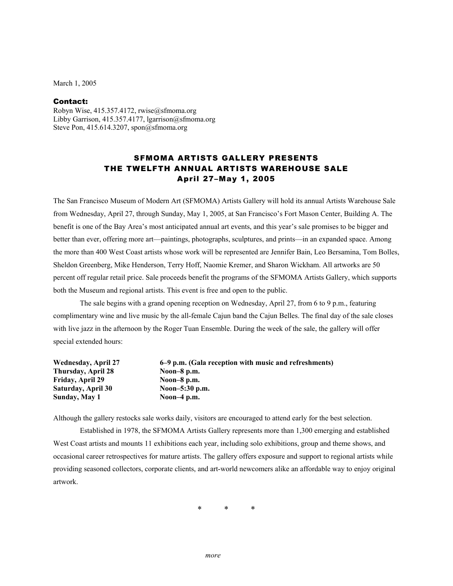March 1, 2005

## Contact:

Robyn Wise, 415.357.4172, rwise@sfmoma.org Libby Garrison, 415.357.4177, lgarrison@sfmoma.org Steve Pon, 415.614.3207, spon@sfmoma.org

## SFMOMA ARTISTS GALLERY PRESENTS THE TWELFTH ANNUAL ARTISTS WAREHOUSE SALE April 27–May 1, 2005

The San Francisco Museum of Modern Art (SFMOMA) Artists Gallery will hold its annual Artists Warehouse Sale from Wednesday, April 27, through Sunday, May 1, 2005, at San Francisco's Fort Mason Center, Building A. The benefit is one of the Bay Area's most anticipated annual art events, and this year's sale promises to be bigger and better than ever, offering more art—paintings, photographs, sculptures, and prints—in an expanded space. Among the more than 400 West Coast artists whose work will be represented are Jennifer Bain, Leo Bersamina, Tom Bolles, Sheldon Greenberg, Mike Henderson, Terry Hoff, Naomie Kremer, and Sharon Wickham. All artworks are 50 percent off regular retail price. Sale proceeds benefit the programs of the SFMOMA Artists Gallery, which supports both the Museum and regional artists. This event is free and open to the public.

The sale begins with a grand opening reception on Wednesday, April 27, from 6 to 9 p.m., featuring complimentary wine and live music by the all-female Cajun band the Cajun Belles. The final day of the sale closes with live jazz in the afternoon by the Roger Tuan Ensemble. During the week of the sale, the gallery will offer special extended hours:

| <b>Wednesday, April 27</b> | 6–9 p.m. (Gala reception with music and refreshments) |
|----------------------------|-------------------------------------------------------|
| Thursday, April 28         | Noon- $8$ p.m.                                        |
| <b>Friday, April 29</b>    | Noon- $8$ p.m.                                        |
| Saturday, April 30         | Noon-5:30 p.m.                                        |
| Sunday, May 1              | Noon-4 $p.m.$                                         |

Although the gallery restocks sale works daily, visitors are encouraged to attend early for the best selection.

Established in 1978, the SFMOMA Artists Gallery represents more than 1,300 emerging and established West Coast artists and mounts 11 exhibitions each year, including solo exhibitions, group and theme shows, and occasional career retrospectives for mature artists. The gallery offers exposure and support to regional artists while providing seasoned collectors, corporate clients, and art-world newcomers alike an affordable way to enjoy original artwork.

\* \* \*